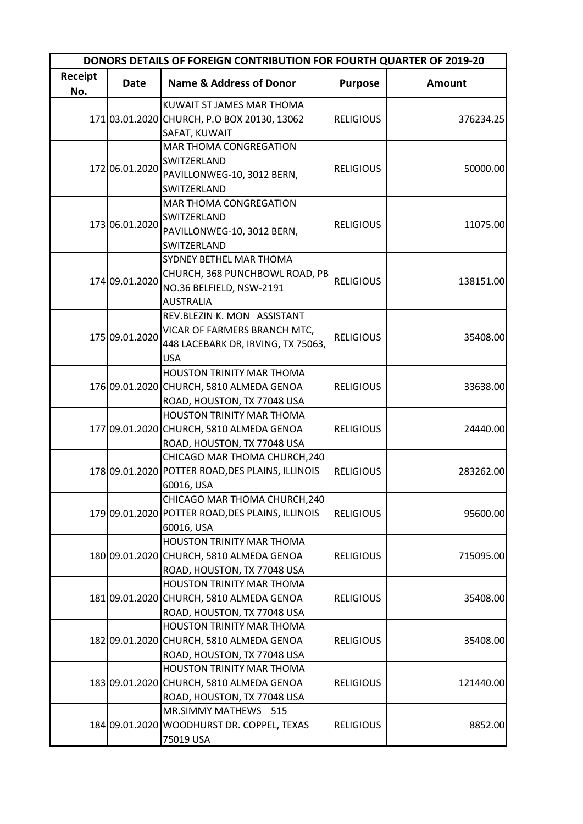| <b>DONORS DETAILS OF FOREIGN CONTRIBUTION FOR FOURTH QUARTER OF 2019-20</b> |                |                                                                                                                  |                  |               |
|-----------------------------------------------------------------------------|----------------|------------------------------------------------------------------------------------------------------------------|------------------|---------------|
| Receipt<br>No.                                                              | <b>Date</b>    | <b>Name &amp; Address of Donor</b>                                                                               | <b>Purpose</b>   | <b>Amount</b> |
|                                                                             |                | KUWAIT ST JAMES MAR THOMA<br>171 03.01.2020 CHURCH, P.O BOX 20130, 13062<br>SAFAT, KUWAIT                        | <b>RELIGIOUS</b> | 376234.25     |
|                                                                             | 172 06.01.2020 | MAR THOMA CONGREGATION<br>SWITZERLAND<br>PAVILLONWEG-10, 3012 BERN,<br>SWITZERLAND                               | <b>RELIGIOUS</b> | 50000.00      |
|                                                                             | 173 06.01.2020 | MAR THOMA CONGREGATION<br>SWITZERLAND<br>PAVILLONWEG-10, 3012 BERN,<br>SWITZERLAND                               | <b>RELIGIOUS</b> | 11075.00      |
|                                                                             | 174 09.01.2020 | <b>SYDNEY BETHEL MAR THOMA</b><br>CHURCH, 368 PUNCHBOWL ROAD, PB<br>NO.36 BELFIELD, NSW-2191<br><b>AUSTRALIA</b> | <b>RELIGIOUS</b> | 138151.00     |
|                                                                             | 175 09.01.2020 | REV.BLEZIN K. MON ASSISTANT<br>VICAR OF FARMERS BRANCH MTC,<br>448 LACEBARK DR, IRVING, TX 75063,<br><b>USA</b>  | <b>RELIGIOUS</b> | 35408.00      |
|                                                                             |                | HOUSTON TRINITY MAR THOMA<br>176 09.01.2020 CHURCH, 5810 ALMEDA GENOA<br>ROAD, HOUSTON, TX 77048 USA             | <b>RELIGIOUS</b> | 33638.00      |
|                                                                             |                | <b>HOUSTON TRINITY MAR THOMA</b><br>177 09.01.2020 CHURCH, 5810 ALMEDA GENOA<br>ROAD, HOUSTON, TX 77048 USA      | <b>RELIGIOUS</b> | 24440.00      |
|                                                                             |                | CHICAGO MAR THOMA CHURCH, 240<br>178 09.01.2020 POTTER ROAD, DES PLAINS, ILLINOIS<br>60016, USA                  | <b>RELIGIOUS</b> | 283262.00     |
|                                                                             |                | CHICAGO MAR THOMA CHURCH, 240<br>179 09.01.2020 POTTER ROAD, DES PLAINS, ILLINOIS<br>60016, USA                  | <b>RELIGIOUS</b> | 95600.00      |
|                                                                             |                | <b>HOUSTON TRINITY MAR THOMA</b><br>180 09.01.2020 CHURCH, 5810 ALMEDA GENOA<br>ROAD, HOUSTON, TX 77048 USA      | <b>RELIGIOUS</b> | 715095.00     |
|                                                                             |                | HOUSTON TRINITY MAR THOMA<br>181 09.01.2020 CHURCH, 5810 ALMEDA GENOA<br>ROAD, HOUSTON, TX 77048 USA             | <b>RELIGIOUS</b> | 35408.00      |
|                                                                             |                | HOUSTON TRINITY MAR THOMA<br>182 09.01.2020 CHURCH, 5810 ALMEDA GENOA<br>ROAD, HOUSTON, TX 77048 USA             | <b>RELIGIOUS</b> | 35408.00      |
|                                                                             |                | HOUSTON TRINITY MAR THOMA<br>183 09.01.2020 CHURCH, 5810 ALMEDA GENOA<br>ROAD, HOUSTON, TX 77048 USA             | <b>RELIGIOUS</b> | 121440.00     |
|                                                                             |                | MR.SIMMY MATHEWS 515<br>184 09.01.2020 WOODHURST DR. COPPEL, TEXAS<br>75019 USA                                  | <b>RELIGIOUS</b> | 8852.00       |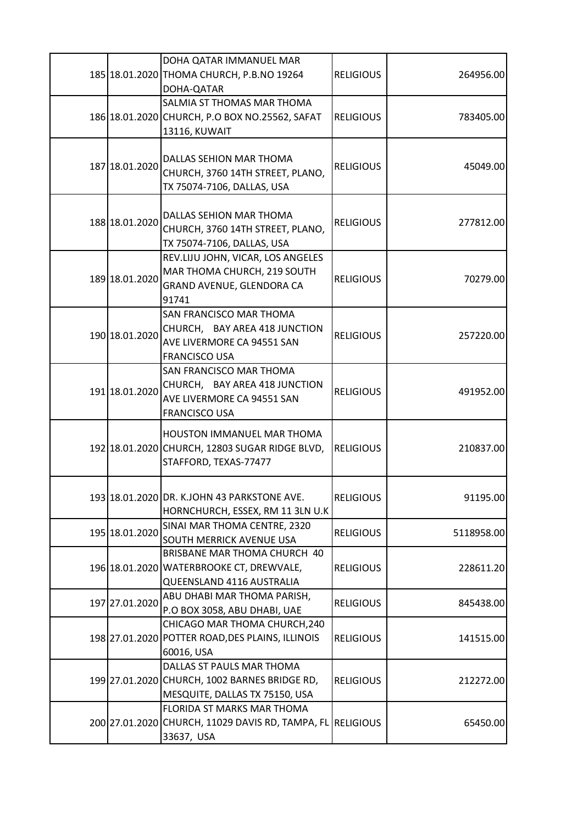|                | DOHA QATAR IMMANUEL MAR<br>185 18.01.2020 THOMA CHURCH, P.B.NO 19264<br>DOHA-QATAR                             | <b>RELIGIOUS</b> | 264956.00  |
|----------------|----------------------------------------------------------------------------------------------------------------|------------------|------------|
|                | SALMIA ST THOMAS MAR THOMA<br>186 18.01.2020 CHURCH, P.O BOX NO.25562, SAFAT<br>13116, KUWAIT                  | <b>RELIGIOUS</b> | 783405.00  |
| 187 18.01.2020 | DALLAS SEHION MAR THOMA<br>CHURCH, 3760 14TH STREET, PLANO,<br>TX 75074-7106, DALLAS, USA                      | <b>RELIGIOUS</b> | 45049.00   |
| 188 18.01.2020 | DALLAS SEHION MAR THOMA<br>CHURCH, 3760 14TH STREET, PLANO,<br>TX 75074-7106, DALLAS, USA                      | <b>RELIGIOUS</b> | 277812.00  |
| 189 18.01.2020 | REV.LIJU JOHN, VICAR, LOS ANGELES<br>MAR THOMA CHURCH, 219 SOUTH<br>GRAND AVENUE, GLENDORA CA<br>91741         | <b>RELIGIOUS</b> | 70279.00   |
| 190 18.01.2020 | SAN FRANCISCO MAR THOMA<br>CHURCH, BAY AREA 418 JUNCTION<br>AVE LIVERMORE CA 94551 SAN<br><b>FRANCISCO USA</b> | <b>RELIGIOUS</b> | 257220.00  |
| 191 18.01.2020 | SAN FRANCISCO MAR THOMA<br>CHURCH, BAY AREA 418 JUNCTION<br>AVE LIVERMORE CA 94551 SAN<br><b>FRANCISCO USA</b> | <b>RELIGIOUS</b> | 491952.00  |
|                | <b>HOUSTON IMMANUEL MAR THOMA</b><br>192 18.01.2020 CHURCH, 12803 SUGAR RIDGE BLVD,<br>STAFFORD, TEXAS-77477   | <b>RELIGIOUS</b> | 210837.00  |
|                | 193 18.01.2020 DR. K.JOHN 43 PARKSTONE AVE.<br>HORNCHURCH, ESSEX, RM 11 3LN U.K                                | <b>RELIGIOUS</b> | 91195.00   |
| 195 18.01.2020 | SINAI MAR THOMA CENTRE, 2320<br>SOUTH MERRICK AVENUE USA                                                       | <b>RELIGIOUS</b> | 5118958.00 |
|                | BRISBANE MAR THOMA CHURCH 40<br>196 18.01.2020 WATERBROOKE CT, DREWVALE,<br>QUEENSLAND 4116 AUSTRALIA          | <b>RELIGIOUS</b> | 228611.20  |
| 197 27.01.2020 | ABU DHABI MAR THOMA PARISH,<br>P.O BOX 3058, ABU DHABI, UAE                                                    | <b>RELIGIOUS</b> | 845438.00  |
|                | CHICAGO MAR THOMA CHURCH, 240<br>198 27.01.2020 POTTER ROAD, DES PLAINS, ILLINOIS<br>60016, USA                | <b>RELIGIOUS</b> | 141515.00  |
|                | DALLAS ST PAULS MAR THOMA<br>199 27.01.2020 CHURCH, 1002 BARNES BRIDGE RD,<br>MESQUITE, DALLAS TX 75150, USA   | <b>RELIGIOUS</b> | 212272.00  |
|                | FLORIDA ST MARKS MAR THOMA<br>200 27.01.2020 CHURCH, 11029 DAVIS RD, TAMPA, FL RELIGIOUS<br>33637, USA         |                  | 65450.00   |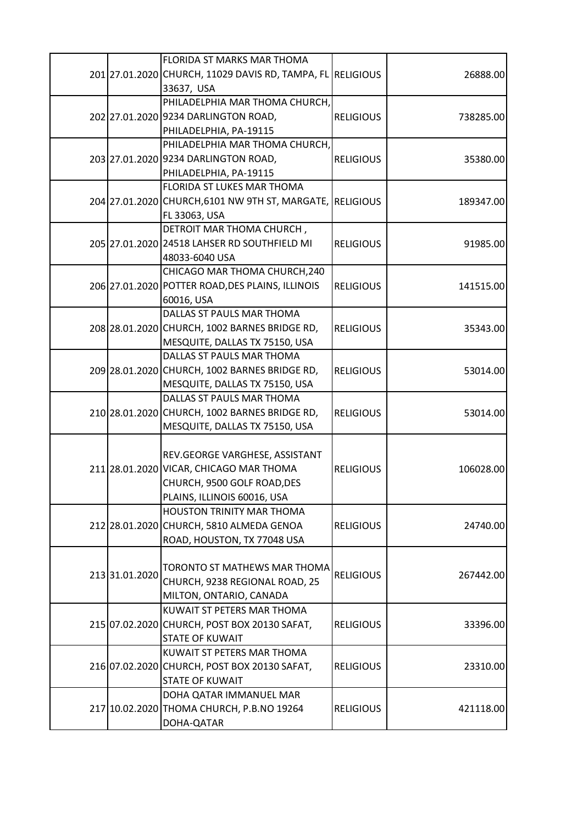|                | FLORIDA ST MARKS MAR THOMA                                 |                  |           |
|----------------|------------------------------------------------------------|------------------|-----------|
|                | 201 27.01.2020 CHURCH, 11029 DAVIS RD, TAMPA, FL RELIGIOUS |                  | 26888.00  |
|                | 33637, USA                                                 |                  |           |
|                | PHILADELPHIA MAR THOMA CHURCH,                             |                  |           |
|                | 202 27.01.2020 9234 DARLINGTON ROAD,                       | <b>RELIGIOUS</b> | 738285.00 |
|                | PHILADELPHIA, PA-19115                                     |                  |           |
|                | PHILADELPHIA MAR THOMA CHURCH,                             |                  |           |
|                | 203 27.01.2020 9234 DARLINGTON ROAD,                       | <b>RELIGIOUS</b> | 35380.00  |
|                | PHILADELPHIA, PA-19115                                     |                  |           |
|                | FLORIDA ST LUKES MAR THOMA                                 |                  |           |
|                | 204 27.01.2020 CHURCH, 6101 NW 9TH ST, MARGATE, RELIGIOUS  |                  | 189347.00 |
|                | FL 33063, USA                                              |                  |           |
|                | DETROIT MAR THOMA CHURCH,                                  |                  |           |
|                | 205 27.01.2020 24518 LAHSER RD SOUTHFIELD MI               | <b>RELIGIOUS</b> | 91985.00  |
|                | 48033-6040 USA                                             |                  |           |
|                | CHICAGO MAR THOMA CHURCH, 240                              |                  |           |
|                | 206 27.01.2020 POTTER ROAD, DES PLAINS, ILLINOIS           | <b>RELIGIOUS</b> | 141515.00 |
|                | 60016, USA                                                 |                  |           |
|                | DALLAS ST PAULS MAR THOMA                                  |                  |           |
|                | 208 28.01.2020 CHURCH, 1002 BARNES BRIDGE RD,              | <b>RELIGIOUS</b> | 35343.00  |
|                | MESQUITE, DALLAS TX 75150, USA                             |                  |           |
|                | DALLAS ST PAULS MAR THOMA                                  |                  |           |
|                | 209 28.01.2020 CHURCH, 1002 BARNES BRIDGE RD,              | <b>RELIGIOUS</b> | 53014.00  |
|                | MESQUITE, DALLAS TX 75150, USA                             |                  |           |
|                | DALLAS ST PAULS MAR THOMA                                  |                  |           |
|                | 210 28.01.2020 CHURCH, 1002 BARNES BRIDGE RD,              | <b>RELIGIOUS</b> | 53014.00  |
|                | MESQUITE, DALLAS TX 75150, USA                             |                  |           |
|                |                                                            |                  |           |
|                | REV.GEORGE VARGHESE, ASSISTANT                             |                  |           |
|                | 211 28.01.2020 VICAR, CHICAGO MAR THOMA                    | <b>RELIGIOUS</b> | 106028.00 |
|                | CHURCH, 9500 GOLF ROAD, DES                                |                  |           |
|                | PLAINS, ILLINOIS 60016, USA                                |                  |           |
|                | HOUSTON TRINITY MAR THOMA                                  |                  |           |
|                | 212 28.01.2020 CHURCH, 5810 ALMEDA GENOA                   | <b>RELIGIOUS</b> | 24740.00  |
|                | ROAD, HOUSTON, TX 77048 USA                                |                  |           |
|                |                                                            |                  |           |
|                | TORONTO ST MATHEWS MAR THOMA                               |                  |           |
| 213 31.01.2020 | CHURCH, 9238 REGIONAL ROAD, 25                             | <b>RELIGIOUS</b> | 267442.00 |
|                | MILTON, ONTARIO, CANADA                                    |                  |           |
|                | KUWAIT ST PETERS MAR THOMA                                 |                  |           |
|                | 215 07.02.2020 CHURCH, POST BOX 20130 SAFAT,               | <b>RELIGIOUS</b> | 33396.00  |
|                | <b>STATE OF KUWAIT</b>                                     |                  |           |
|                | KUWAIT ST PETERS MAR THOMA                                 |                  |           |
|                | 216 07.02.2020 CHURCH, POST BOX 20130 SAFAT,               | <b>RELIGIOUS</b> | 23310.00  |
|                | <b>STATE OF KUWAIT</b>                                     |                  |           |
|                | DOHA QATAR IMMANUEL MAR                                    |                  |           |
|                | 217 10.02.2020 THOMA CHURCH, P.B.NO 19264                  | <b>RELIGIOUS</b> | 421118.00 |
|                | DOHA-QATAR                                                 |                  |           |
|                |                                                            |                  |           |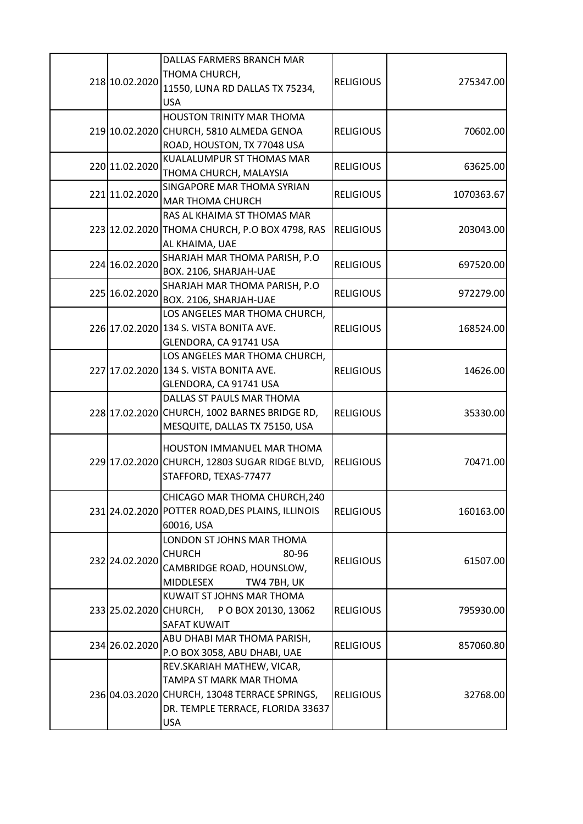|  |                        | DALLAS FARMERS BRANCH MAR                        |                  |            |
|--|------------------------|--------------------------------------------------|------------------|------------|
|  |                        | THOMA CHURCH,                                    |                  |            |
|  | 218 10.02.2020         | 11550, LUNA RD DALLAS TX 75234,                  | <b>RELIGIOUS</b> | 275347.00  |
|  |                        | <b>USA</b>                                       |                  |            |
|  |                        | <b>HOUSTON TRINITY MAR THOMA</b>                 |                  |            |
|  |                        | 219 10.02.2020 CHURCH, 5810 ALMEDA GENOA         | <b>RELIGIOUS</b> | 70602.00   |
|  |                        | ROAD, HOUSTON, TX 77048 USA                      |                  |            |
|  |                        | KUALALUMPUR ST THOMAS MAR                        |                  |            |
|  | 220 11.02.2020         | THOMA CHURCH, MALAYSIA                           | <b>RELIGIOUS</b> | 63625.00   |
|  |                        | SINGAPORE MAR THOMA SYRIAN                       |                  |            |
|  | 221 11.02.2020         | <b>MAR THOMA CHURCH</b>                          | <b>RELIGIOUS</b> | 1070363.67 |
|  |                        | RAS AL KHAIMA ST THOMAS MAR                      |                  |            |
|  |                        | 223 12.02.2020 THOMA CHURCH, P.O BOX 4798, RAS   | <b>RELIGIOUS</b> | 203043.00  |
|  |                        | AL KHAIMA, UAE                                   |                  |            |
|  |                        | SHARJAH MAR THOMA PARISH, P.O                    |                  |            |
|  | 224 16.02.2020         | BOX. 2106, SHARJAH-UAE                           | <b>RELIGIOUS</b> | 697520.00  |
|  |                        | SHARJAH MAR THOMA PARISH, P.O                    |                  |            |
|  | 225 16.02.2020         | BOX. 2106, SHARJAH-UAE                           | <b>RELIGIOUS</b> | 972279.00  |
|  |                        | LOS ANGELES MAR THOMA CHURCH,                    |                  |            |
|  |                        | 226 17.02.2020 134 S. VISTA BONITA AVE.          | <b>RELIGIOUS</b> | 168524.00  |
|  |                        | GLENDORA, CA 91741 USA                           |                  |            |
|  |                        | LOS ANGELES MAR THOMA CHURCH,                    |                  |            |
|  |                        | 227 17.02.2020 134 S. VISTA BONITA AVE.          | <b>RELIGIOUS</b> | 14626.00   |
|  |                        | GLENDORA, CA 91741 USA                           |                  |            |
|  |                        | DALLAS ST PAULS MAR THOMA                        |                  |            |
|  |                        | 228 17.02.2020 CHURCH, 1002 BARNES BRIDGE RD,    | <b>RELIGIOUS</b> | 35330.00   |
|  |                        | MESQUITE, DALLAS TX 75150, USA                   |                  |            |
|  |                        |                                                  |                  |            |
|  |                        | HOUSTON IMMANUEL MAR THOMA                       | <b>RELIGIOUS</b> |            |
|  |                        | 229 17.02.2020 CHURCH, 12803 SUGAR RIDGE BLVD,   |                  | 70471.00   |
|  |                        | STAFFORD, TEXAS-77477                            |                  |            |
|  |                        | CHICAGO MAR THOMA CHURCH, 240                    |                  |            |
|  |                        | 231 24.02.2020 POTTER ROAD, DES PLAINS, ILLINOIS | <b>RELIGIOUS</b> | 160163.00  |
|  |                        | 60016, USA                                       |                  |            |
|  |                        | LONDON ST JOHNS MAR THOMA                        |                  |            |
|  |                        | <b>CHURCH</b><br>80-96                           |                  |            |
|  | 232 24.02.2020         | CAMBRIDGE ROAD, HOUNSLOW,                        | <b>RELIGIOUS</b> | 61507.00   |
|  |                        | <b>MIDDLESEX</b><br>TW4 7BH, UK                  |                  |            |
|  |                        | KUWAIT ST JOHNS MAR THOMA                        |                  |            |
|  | 233 25.02.2020 CHURCH, | POBOX 20130, 13062                               | <b>RELIGIOUS</b> | 795930.00  |
|  |                        | <b>SAFAT KUWAIT</b>                              |                  |            |
|  |                        | ABU DHABI MAR THOMA PARISH,                      |                  |            |
|  | 234 26.02.2020         | P.O BOX 3058, ABU DHABI, UAE                     | <b>RELIGIOUS</b> | 857060.80  |
|  |                        | REV.SKARIAH MATHEW, VICAR,                       |                  |            |
|  |                        | TAMPA ST MARK MAR THOMA                          |                  |            |
|  |                        | 236 04.03.2020 CHURCH, 13048 TERRACE SPRINGS,    | <b>RELIGIOUS</b> | 32768.00   |
|  |                        | DR. TEMPLE TERRACE, FLORIDA 33637                |                  |            |
|  |                        | <b>USA</b>                                       |                  |            |
|  |                        |                                                  |                  |            |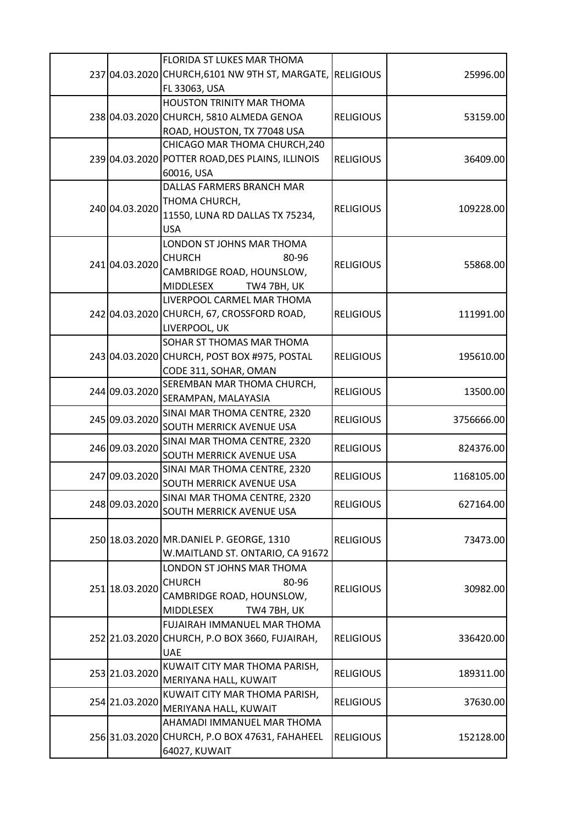|  |                                  | FLORIDA ST LUKES MAR THOMA                                |                                      |            |
|--|----------------------------------|-----------------------------------------------------------|--------------------------------------|------------|
|  |                                  | 237 04.03.2020 CHURCH, 6101 NW 9TH ST, MARGATE, RELIGIOUS |                                      | 25996.00   |
|  |                                  | FL 33063, USA                                             |                                      |            |
|  |                                  | HOUSTON TRINITY MAR THOMA                                 |                                      |            |
|  |                                  | 238 04.03.2020 CHURCH, 5810 ALMEDA GENOA                  | <b>RELIGIOUS</b>                     | 53159.00   |
|  |                                  | ROAD, HOUSTON, TX 77048 USA                               |                                      |            |
|  |                                  | CHICAGO MAR THOMA CHURCH, 240                             |                                      |            |
|  |                                  | 239 04.03.2020 POTTER ROAD, DES PLAINS, ILLINOIS          | <b>RELIGIOUS</b>                     | 36409.00   |
|  |                                  | 60016, USA                                                |                                      |            |
|  |                                  | DALLAS FARMERS BRANCH MAR                                 |                                      |            |
|  | 240 04.03.2020                   | THOMA CHURCH,                                             | <b>RELIGIOUS</b>                     | 109228.00  |
|  |                                  | 11550, LUNA RD DALLAS TX 75234,                           |                                      |            |
|  |                                  | <b>USA</b>                                                |                                      |            |
|  |                                  | LONDON ST JOHNS MAR THOMA                                 |                                      |            |
|  | 241 04.03.2020                   | <b>CHURCH</b><br>80-96                                    | <b>RELIGIOUS</b>                     | 55868.00   |
|  |                                  | CAMBRIDGE ROAD, HOUNSLOW,                                 |                                      |            |
|  |                                  | <b>MIDDLESEX</b><br>TW4 7BH, UK                           |                                      |            |
|  |                                  | LIVERPOOL CARMEL MAR THOMA                                |                                      |            |
|  |                                  | 242 04.03.2020 CHURCH, 67, CROSSFORD ROAD,                | <b>RELIGIOUS</b>                     | 111991.00  |
|  |                                  | LIVERPOOL, UK                                             |                                      |            |
|  |                                  | <b>SOHAR ST THOMAS MAR THOMA</b>                          | <b>RELIGIOUS</b>                     | 195610.00  |
|  |                                  | 243 04.03.2020 CHURCH, POST BOX #975, POSTAL              |                                      |            |
|  |                                  | CODE 311, SOHAR, OMAN                                     |                                      |            |
|  | 244 09.03.2020                   | SEREMBAN MAR THOMA CHURCH,                                | <b>RELIGIOUS</b>                     |            |
|  |                                  | SERAMPAN, MALAYASIA                                       |                                      | 13500.00   |
|  | 245 09.03.2020                   | SINAI MAR THOMA CENTRE, 2320                              | <b>RELIGIOUS</b>                     | 3756666.00 |
|  |                                  | SOUTH MERRICK AVENUE USA                                  |                                      |            |
|  | 246 09.03.2020                   | SINAI MAR THOMA CENTRE, 2320                              | <b>RELIGIOUS</b>                     | 824376.00  |
|  |                                  | SOUTH MERRICK AVENUE USA                                  |                                      |            |
|  | 247 09.03.2020                   | SINAI MAR THOMA CENTRE, 2320                              | <b>RELIGIOUS</b>                     | 1168105.00 |
|  |                                  | SOUTH MERRICK AVENUE USA                                  |                                      |            |
|  | 248 09.03.2020                   | SINAI MAR THOMA CENTRE, 2320                              | <b>RELIGIOUS</b>                     | 627164.00  |
|  |                                  | <b>SOUTH MERRICK AVENUE USA</b>                           |                                      |            |
|  |                                  |                                                           |                                      |            |
|  |                                  | 250 18.03.2020 MR.DANIEL P. GEORGE, 1310                  | <b>RELIGIOUS</b>                     | 73473.00   |
|  |                                  | W.MAITLAND ST. ONTARIO, CA 91672                          |                                      |            |
|  |                                  | LONDON ST JOHNS MAR THOMA                                 |                                      |            |
|  | 251 18.03.2020                   | <b>CHURCH</b><br>80-96                                    | <b>RELIGIOUS</b>                     | 30982.00   |
|  |                                  | CAMBRIDGE ROAD, HOUNSLOW,                                 |                                      |            |
|  |                                  | <b>MIDDLESEX</b><br>TW4 7BH, UK                           |                                      |            |
|  |                                  | FUJAIRAH IMMANUEL MAR THOMA                               | <b>RELIGIOUS</b>                     |            |
|  |                                  | 252 21.03.2020 CHURCH, P.O BOX 3660, FUJAIRAH,            |                                      | 336420.00  |
|  |                                  | <b>UAE</b>                                                |                                      |            |
|  | 253 21.03.2020<br>254 21.03.2020 | KUWAIT CITY MAR THOMA PARISH,                             | <b>RELIGIOUS</b><br><b>RELIGIOUS</b> | 189311.00  |
|  |                                  | MERIYANA HALL, KUWAIT                                     |                                      |            |
|  |                                  | KUWAIT CITY MAR THOMA PARISH,                             |                                      |            |
|  |                                  | MERIYANA HALL, KUWAIT                                     |                                      | 37630.00   |
|  |                                  | AHAMADI IMMANUEL MAR THOMA                                |                                      |            |
|  |                                  | 256 31.03.2020 CHURCH, P.O BOX 47631, FAHAHEEL            | <b>RELIGIOUS</b>                     | 152128.00  |
|  |                                  | 64027, KUWAIT                                             |                                      |            |